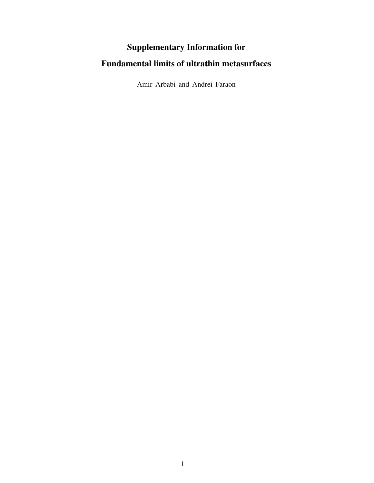## Supplementary Information for

## Fundamental limits of ultrathin metasurfaces

Amir Arbabi and Andrei Faraon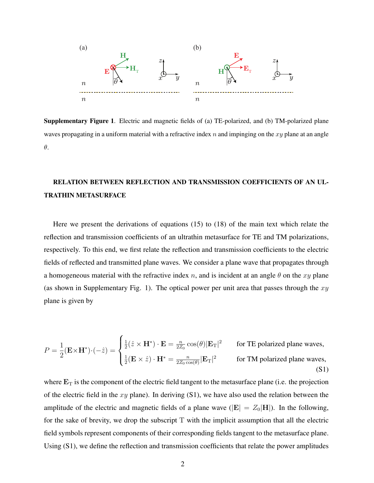

Supplementary Figure 1. Electric and magnetic fields of (a) TE-polarized, and (b) TM-polarized plane waves propagating in a uniform material with a refractive index  $n$  and impinging on the  $xy$  plane at an angle θ.

## RELATION BETWEEN REFLECTION AND TRANSMISSION COEFFICIENTS OF AN UL-TRATHIN METASURFACE

Here we present the derivations of equations (15) to (18) of the main text which relate the reflection and transmission coefficients of an ultrathin metasurface for TE and TM polarizations, respectively. To this end, we first relate the reflection and transmission coefficients to the electric fields of reflected and transmitted plane waves. We consider a plane wave that propagates through a homogeneous material with the refractive index n, and is incident at an angle  $\theta$  on the xy plane (as shown in Supplementary Fig. 1). The optical power per unit area that passes through the  $xy$ plane is given by

$$
P = \frac{1}{2} (\mathbf{E} \times \mathbf{H}^*) \cdot (-\hat{z}) = \begin{cases} \frac{1}{2} (\hat{z} \times \mathbf{H}^*) \cdot \mathbf{E} = \frac{n}{2Z_0} \cos(\theta) |\mathbf{E}_T|^2 & \text{for TE polarized plane waves,} \\ \frac{1}{2} (\mathbf{E} \times \hat{z}) \cdot \mathbf{H}^* = \frac{n}{2Z_0 \cos(\theta)} |\mathbf{E}_T|^2 & \text{for TM polarized plane waves,} \end{cases}
$$
(S1)

where  $E_T$  is the component of the electric field tangent to the metasurface plane (i.e. the projection of the electric field in the  $xy$  plane). In deriving  $(S1)$ , we have also used the relation between the amplitude of the electric and magnetic fields of a plane wave ( $|\mathbf{E}| = Z_0|\mathbf{H}|$ ). In the following, for the sake of brevity, we drop the subscript  $T$  with the implicit assumption that all the electric field symbols represent components of their corresponding fields tangent to the metasurface plane. Using (S1), we define the reflection and transmission coefficients that relate the power amplitudes